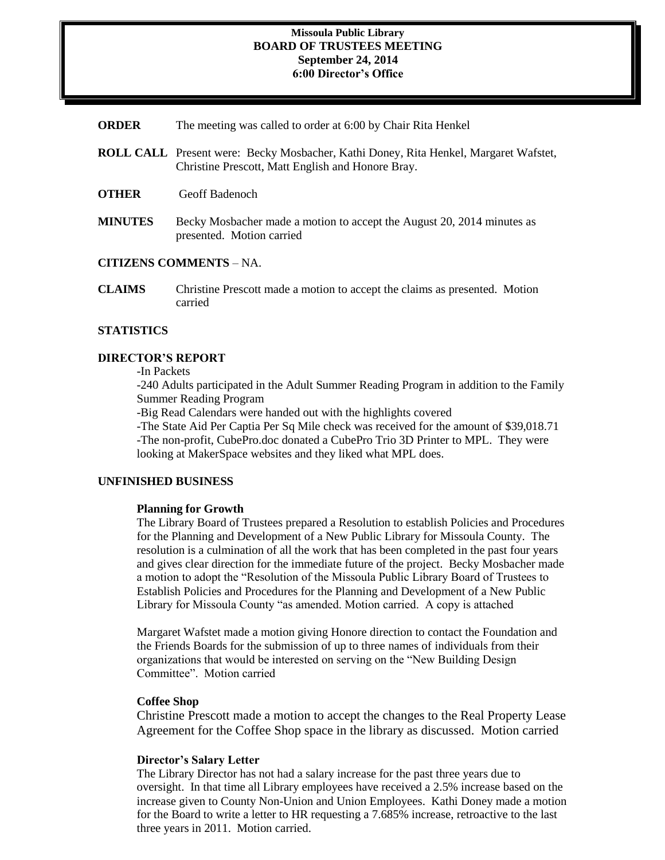### **Missoula Public Library BOARD OF TRUSTEES MEETING September 24, 2014 6:00 Director's Office**

- **ORDER** The meeting was called to order at 6:00 by Chair Rita Henkel
- **ROLL CALL** Present were: Becky Mosbacher, Kathi Doney, Rita Henkel, Margaret Wafstet, Christine Prescott, Matt English and Honore Bray.
- **OTHER** Geoff Badenoch
- **MINUTES** Becky Mosbacher made a motion to accept the August 20, 2014 minutes as presented. Motion carried

## **CITIZENS COMMENTS** – NA.

**CLAIMS** Christine Prescott made a motion to accept the claims as presented. Motion carried

### **STATISTICS**

### **DIRECTOR'S REPORT**

-In Packets

-240 Adults participated in the Adult Summer Reading Program in addition to the Family Summer Reading Program

-Big Read Calendars were handed out with the highlights covered

-The State Aid Per Captia Per Sq Mile check was received for the amount of \$39,018.71 -The non-profit, CubePro.doc donated a CubePro Trio 3D Printer to MPL. They were looking at MakerSpace websites and they liked what MPL does.

#### **UNFINISHED BUSINESS**

#### **Planning for Growth**

The Library Board of Trustees prepared a Resolution to establish Policies and Procedures for the Planning and Development of a New Public Library for Missoula County. The resolution is a culmination of all the work that has been completed in the past four years and gives clear direction for the immediate future of the project. Becky Mosbacher made a motion to adopt the "Resolution of the Missoula Public Library Board of Trustees to Establish Policies and Procedures for the Planning and Development of a New Public Library for Missoula County "as amended. Motion carried. A copy is attached

Margaret Wafstet made a motion giving Honore direction to contact the Foundation and the Friends Boards for the submission of up to three names of individuals from their organizations that would be interested on serving on the "New Building Design Committee". Motion carried

#### **Coffee Shop**

Christine Prescott made a motion to accept the changes to the Real Property Lease Agreement for the Coffee Shop space in the library as discussed. Motion carried

#### **Director's Salary Letter**

The Library Director has not had a salary increase for the past three years due to oversight. In that time all Library employees have received a 2.5% increase based on the increase given to County Non-Union and Union Employees. Kathi Doney made a motion for the Board to write a letter to HR requesting a 7.685% increase, retroactive to the last three years in 2011. Motion carried.